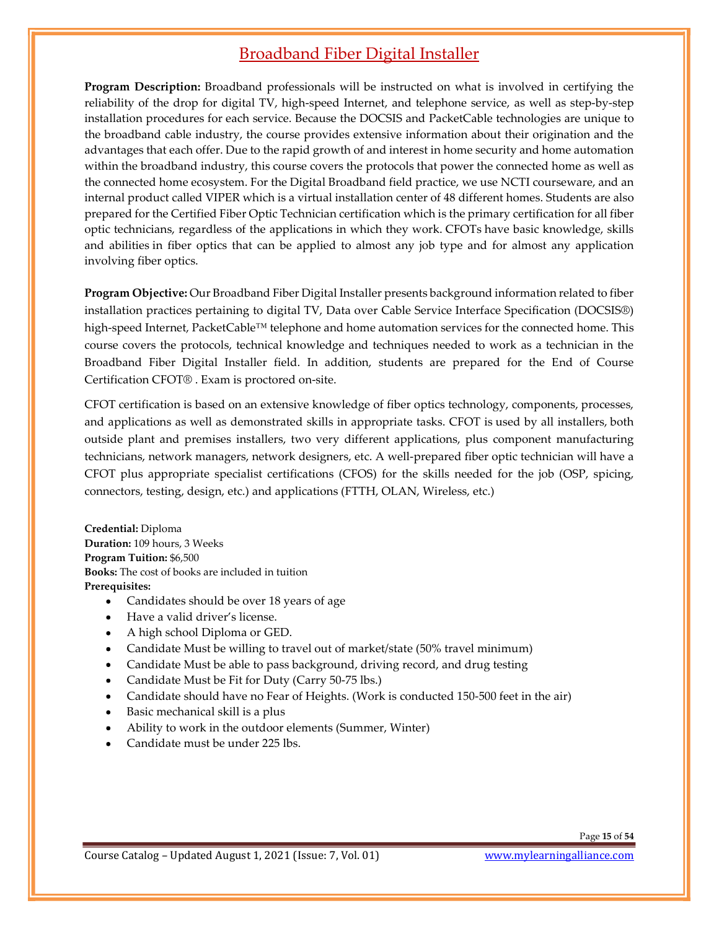## Broadband Fiber Digital Installer

Program Description: Broadband professionals will be instructed on what is involved in certifying the reliability of the drop for digital TV, high-speed Internet, and telephone service, as well as step-by-step installation procedures for each service. Because the DOCSIS and PacketCable technologies are unique to the broadband cable industry, the course provides extensive information about their origination and the advantages that each offer. Due to the rapid growth of and interest in home security and home automation within the broadband industry, this course covers the protocols that power the connected home as well as the connected home ecosystem. For the Digital Broadband field practice, we use NCTI courseware, and an internal product called VIPER which is a virtual installation center of 48 different homes. Students are also prepared for the Certified Fiber Optic Technician certification which is the primary certification for all fiber optic technicians, regardless of the applications in which they work. CFOTs have basic knowledge, skills and abilities in fiber optics that can be applied to almost any job type and for almost any application involving fiber optics.

Program Objective: Our Broadband Fiber Digital Installer presents background information related to fiber installation practices pertaining to digital TV, Data over Cable Service Interface Specification (DOCSIS®) high-speed Internet, PacketCable™ telephone and home automation services for the connected home. This course covers the protocols, technical knowledge and techniques needed to work as a technician in the Broadband Fiber Digital Installer field. In addition, students are prepared for the End of Course Certification CFOT® . Exam is proctored on-site.

CFOT certification is based on an extensive knowledge of fiber optics technology, components, processes, and applications as well as demonstrated skills in appropriate tasks. CFOT is used by all installers, both outside plant and premises installers, two very different applications, plus component manufacturing technicians, network managers, network designers, etc. A well-prepared fiber optic technician will have a CFOT plus appropriate specialist certifications (CFOS) for the skills needed for the job (OSP, spicing, connectors, testing, design, etc.) and applications (FTTH, OLAN, Wireless, etc.)

Credential: Diploma Duration: 109 hours, 3 Weeks Program Tuition: \$6,500 Books: The cost of books are included in tuition Prerequisites:<br>• Candidates should be over 18 years of age

- 
- Have a valid driver's license.
- A high school Diploma or GED.
- Candidate Must be willing to travel out of market/state (50% travel minimum)
- Candidate Must be able to pass background, driving record, and drug testing
- Candidate Must be Fit for Duty (Carry 50-75 lbs.)
- Candidate should have no Fear of Heights. (Work is conducted 150-500 feet in the air)
- Basic mechanical skill is a plus
- Ability to work in the outdoor elements (Summer, Winter)
- Candidate must be under 225 lbs.

Page 15 of 54